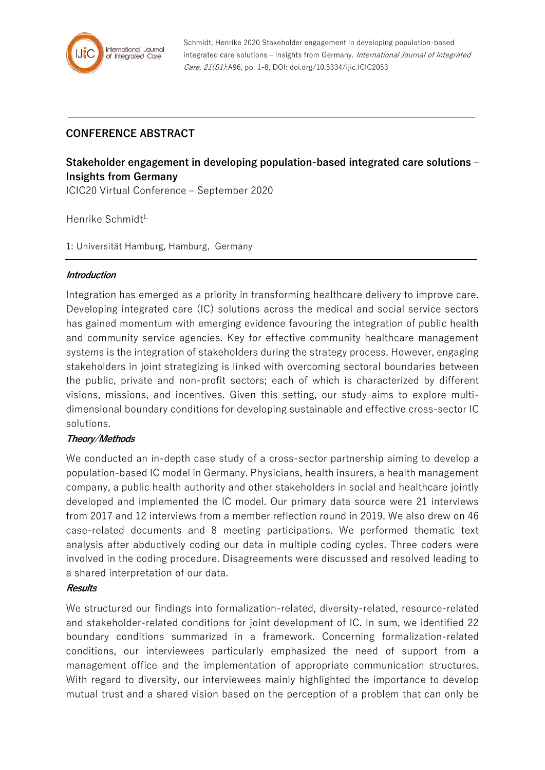

Schmidt, Henrike 2020 Stakeholder engagement in developing population-based integrated care solutions - Insights from Germany. International Journal of Integrated Care, 21(S1):A96, pp. 1-8, DOI: doi.org/10.5334/ijic.ICIC2053

## **CONFERENCE ABSTRACT**

# **Stakeholder engagement in developing population-based integrated care solutions – Insights from Germany**

ICIC20 Virtual Conference – September 2020

Henrike Schmidt<sup>1,</sup>

1: Universität Hamburg, Hamburg, Germany

#### **Introduction**

Integration has emerged as a priority in transforming healthcare delivery to improve care. Developing integrated care (IC) solutions across the medical and social service sectors has gained momentum with emerging evidence favouring the integration of public health and community service agencies. Key for effective community healthcare management systems is the integration of stakeholders during the strategy process. However, engaging stakeholders in joint strategizing is linked with overcoming sectoral boundaries between the public, private and non-profit sectors; each of which is characterized by different visions, missions, and incentives. Given this setting, our study aims to explore multidimensional boundary conditions for developing sustainable and effective cross-sector IC solutions.

## **Theory/Methods**

We conducted an in-depth case study of a cross-sector partnership aiming to develop a population-based IC model in Germany. Physicians, health insurers, a health management company, a public health authority and other stakeholders in social and healthcare jointly developed and implemented the IC model. Our primary data source were 21 interviews from 2017 and 12 interviews from a member reflection round in 2019. We also drew on 46 case-related documents and 8 meeting participations. We performed thematic text analysis after abductively coding our data in multiple coding cycles. Three coders were involved in the coding procedure. Disagreements were discussed and resolved leading to a shared interpretation of our data.

#### **Results**

We structured our findings into formalization-related, diversity-related, resource-related and stakeholder-related conditions for joint development of IC. In sum, we identified 22 boundary conditions summarized in a framework. Concerning formalization-related conditions, our interviewees particularly emphasized the need of support from a management office and the implementation of appropriate communication structures. With regard to diversity, our interviewees mainly highlighted the importance to develop mutual trust and a shared vision based on the perception of a problem that can only be